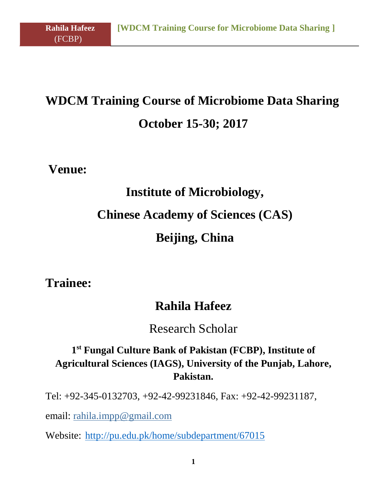# **WDCM Training Course of Microbiome Data Sharing October 15-30; 2017**

**Venue:**

(FCBP)

# **Institute of Microbiology, Chinese Academy of Sciences (CAS) Beijing, China**

**Trainee:** 

## **Rahila Hafeez**

Research Scholar

### **1 st Fungal Culture Bank of Pakistan (FCBP), Institute of Agricultural Sciences (IAGS), University of the Punjab, Lahore, Pakistan.**

Tel: +92-345-0132703, +92-42-99231846, Fax: +92-42-99231187,

email: rahila.impp@gmail.com

Website: <http://pu.edu.pk/home/subdepartment/67015>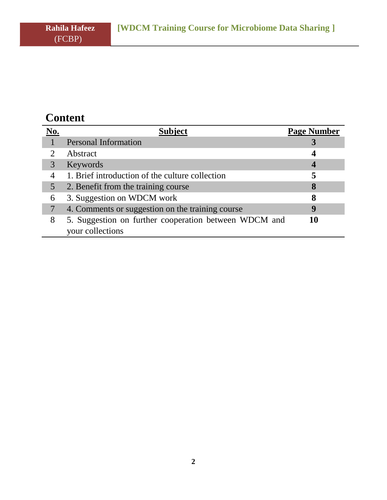(FCBP)

# **Content**

| No. | <b>Subject</b>                                        | <b>Page Number</b> |
|-----|-------------------------------------------------------|--------------------|
|     | <b>Personal Information</b>                           |                    |
|     | Abstract                                              |                    |
| 3   | Keywords                                              | 4                  |
|     | 1. Brief introduction of the culture collection       |                    |
| 5   | 2. Benefit from the training course                   | 8                  |
| 6   | 3. Suggestion on WDCM work                            | 8                  |
|     | 4. Comments or suggestion on the training course      | q                  |
| 8   | 5. Suggestion on further cooperation between WDCM and | 10                 |
|     | your collections                                      |                    |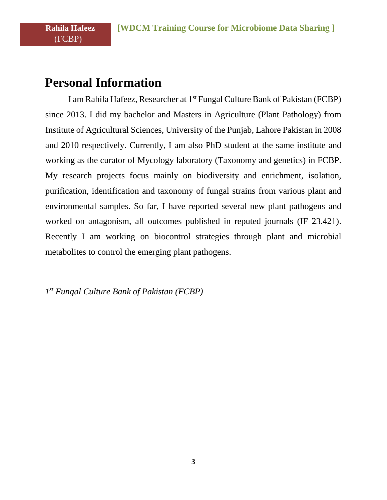### **Personal Information**

(FCBP)

I am Rahila Hafeez, Researcher at 1st Fungal Culture Bank of Pakistan (FCBP) since 2013. I did my bachelor and Masters in Agriculture (Plant Pathology) from Institute of Agricultural Sciences, University of the Punjab, Lahore Pakistan in 2008 and 2010 respectively. Currently, I am also PhD student at the same institute and working as the curator of Mycology laboratory (Taxonomy and genetics) in FCBP. My research projects focus mainly on biodiversity and enrichment, isolation, purification, identification and taxonomy of fungal strains from various plant and environmental samples. So far, I have reported several new plant pathogens and worked on antagonism, all outcomes published in reputed journals (IF 23.421). Recently I am working on biocontrol strategies through plant and microbial metabolites to control the emerging plant pathogens.

*1 st Fungal Culture Bank of Pakistan (FCBP)*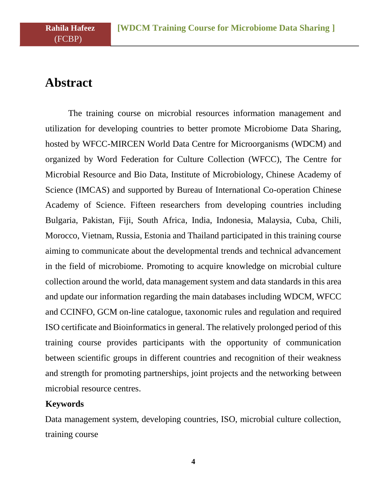# **Abstract**

(FCBP)

The training course on microbial resources information management and utilization for developing countries to better promote Microbiome Data Sharing, hosted by WFCC-MIRCEN World Data Centre for Microorganisms (WDCM) and organized by Word Federation for Culture Collection (WFCC), The Centre for Microbial Resource and Bio Data, Institute of Microbiology, Chinese Academy of Science (IMCAS) and supported by Bureau of International Co-operation Chinese Academy of Science. Fifteen researchers from developing countries including Bulgaria, Pakistan, Fiji, South Africa, India, Indonesia, Malaysia, Cuba, Chili, Morocco, Vietnam, Russia, Estonia and Thailand participated in this training course aiming to communicate about the developmental trends and technical advancement in the field of microbiome. Promoting to acquire knowledge on microbial culture collection around the world, data management system and data standards in this area and update our information regarding the main databases including WDCM, WFCC and CCINFO, GCM on-line catalogue, taxonomic rules and regulation and required ISO certificate and Bioinformatics in general. The relatively prolonged period of this training course provides participants with the opportunity of communication between scientific groups in different countries and recognition of their weakness and strength for promoting partnerships, joint projects and the networking between microbial resource centres.

#### **Keywords**

Data management system, developing countries, ISO, microbial culture collection, training course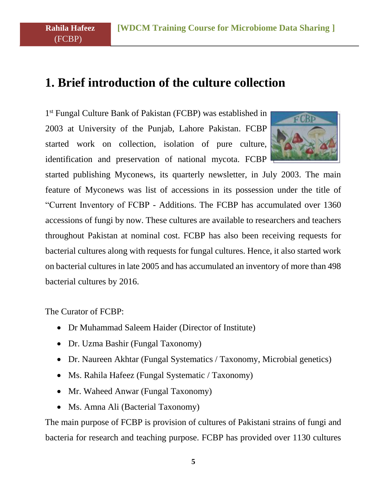### **1. Brief introduction of the culture collection**

1<sup>st</sup> Fungal Culture Bank of Pakistan (FCBP) was established in 2003 at University of the Punjab, Lahore Pakistan. FCBP started work on collection, isolation of pure culture, identification and preservation of national mycota. FCBP



started publishing Myconews, its quarterly newsletter, in July 2003. The main feature of Myconews was list of accessions in its possession under the title of "Current Inventory of FCBP - Additions. The FCBP has accumulated over 1360 accessions of fungi by now. These cultures are available to researchers and teachers throughout Pakistan at nominal cost. FCBP has also been receiving requests for bacterial cultures along with requests for fungal cultures. Hence, it also started work on bacterial cultures in late 2005 and has accumulated an inventory of more than 498 bacterial cultures by 2016.

The Curator of FCBP:

(FCBP)

- Dr Muhammad Saleem Haider (Director of Institute)
- Dr. Uzma Bashir (Fungal Taxonomy)
- Dr. Naureen Akhtar (Fungal Systematics / Taxonomy, Microbial genetics)
- Ms. Rahila Hafeez (Fungal Systematic / Taxonomy)
- Mr. Waheed Anwar (Fungal Taxonomy)
- Ms. Amna Ali (Bacterial Taxonomy)

The main purpose of FCBP is provision of cultures of Pakistani strains of fungi and bacteria for research and teaching purpose. FCBP has provided over 1130 cultures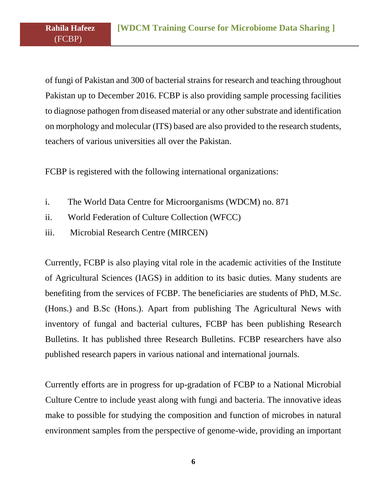of fungi of Pakistan and 300 of bacterial strains for research and teaching throughout Pakistan up to December 2016. FCBP is also providing sample processing facilities to diagnose pathogen from diseased material or any other substrate and identification on morphology and molecular (ITS) based are also provided to the research students, teachers of various universities all over the Pakistan.

FCBP is registered with the following international organizations:

- i. The World Data Centre for Microorganisms (WDCM) no. 871
- ii. World Federation of Culture Collection (WFCC)
- iii. Microbial Research Centre (MIRCEN)

Currently, FCBP is also playing vital role in the academic activities of the Institute of Agricultural Sciences (IAGS) in addition to its basic duties. Many students are benefiting from the services of FCBP. The beneficiaries are students of PhD, M.Sc. (Hons.) and B.Sc (Hons.). Apart from publishing The Agricultural News with inventory of fungal and bacterial cultures, FCBP has been publishing Research Bulletins. It has published three Research Bulletins. FCBP researchers have also published research papers in various national and international journals.

Currently efforts are in progress for up-gradation of FCBP to a National Microbial Culture Centre to include yeast along with fungi and bacteria. The innovative ideas make to possible for studying the composition and function of microbes in natural environment samples from the perspective of genome-wide, providing an important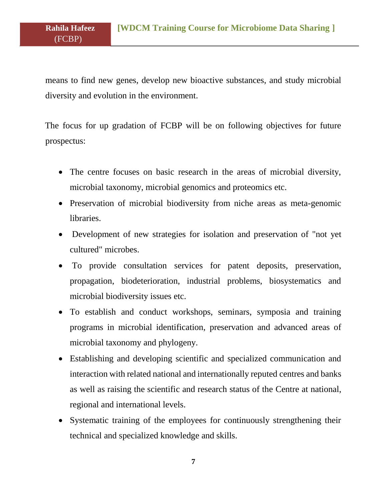means to find new genes, develop new bioactive substances, and study microbial diversity and evolution in the environment.

(FCBP)

The focus for up gradation of FCBP will be on following objectives for future prospectus:

- The centre focuses on basic research in the areas of microbial diversity, microbial taxonomy, microbial genomics and proteomics etc.
- Preservation of microbial biodiversity from niche areas as meta-genomic libraries.
- Development of new strategies for isolation and preservation of "not yet cultured" microbes.
- To provide consultation services for patent deposits, preservation, propagation, biodeterioration, industrial problems, biosystematics and microbial biodiversity issues etc.
- To establish and conduct workshops, seminars, symposia and training programs in microbial identification, preservation and advanced areas of microbial taxonomy and phylogeny.
- Establishing and developing scientific and specialized communication and interaction with related national and internationally reputed centres and banks as well as raising the scientific and research status of the Centre at national, regional and international levels.
- Systematic training of the employees for continuously strengthening their technical and specialized knowledge and skills.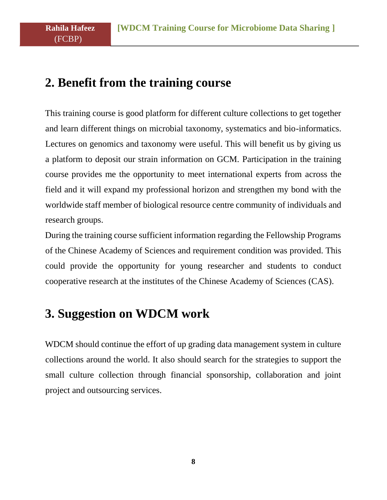### **2. Benefit from the training course**

(FCBP)

This training course is good platform for different culture collections to get together and learn different things on microbial taxonomy, systematics and bio-informatics. Lectures on genomics and taxonomy were useful. This will benefit us by giving us a platform to deposit our strain information on GCM. Participation in the training course provides me the opportunity to meet international experts from across the field and it will expand my professional horizon and strengthen my bond with the worldwide staff member of biological resource centre community of individuals and research groups.

During the training course sufficient information regarding the Fellowship Programs of the Chinese Academy of Sciences and requirement condition was provided. This could provide the opportunity for young researcher and students to conduct cooperative research at the institutes of the Chinese Academy of Sciences (CAS).

## **3. Suggestion on WDCM work**

WDCM should continue the effort of up grading data management system in culture collections around the world. It also should search for the strategies to support the small culture collection through financial sponsorship, collaboration and joint project and outsourcing services.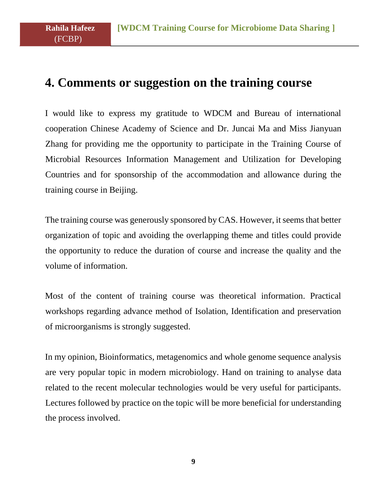## **4. Comments or suggestion on the training course**

I would like to express my gratitude to WDCM and Bureau of international cooperation Chinese Academy of Science and Dr. Juncai Ma and Miss Jianyuan Zhang for providing me the opportunity to participate in the Training Course of Microbial Resources Information Management and Utilization for Developing Countries and for sponsorship of the accommodation and allowance during the training course in Beijing.

The training course was generously sponsored by CAS. However, it seems that better organization of topic and avoiding the overlapping theme and titles could provide the opportunity to reduce the duration of course and increase the quality and the volume of information.

Most of the content of training course was theoretical information. Practical workshops regarding advance method of Isolation, Identification and preservation of microorganisms is strongly suggested.

In my opinion, Bioinformatics, metagenomics and whole genome sequence analysis are very popular topic in modern microbiology. Hand on training to analyse data related to the recent molecular technologies would be very useful for participants. Lectures followed by practice on the topic will be more beneficial for understanding the process involved.